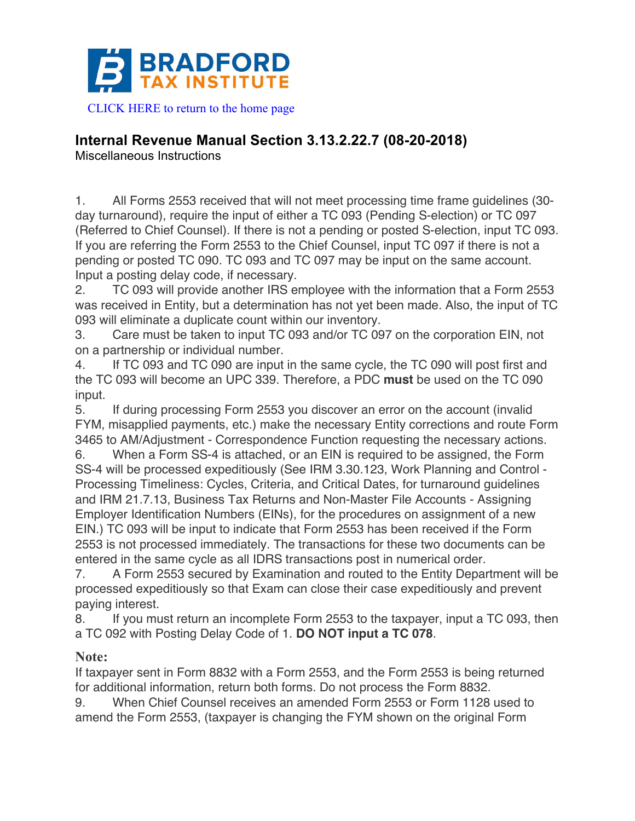

## **Internal Revenue Manual Section 3.13.2.22.7 (08-20-2018)**

Miscellaneous Instructions

1. All Forms 2553 received that will not meet processing time frame guidelines (30 day turnaround), require the input of either a TC 093 (Pending S-election) or TC 097 (Referred to Chief Counsel). If there is not a pending or posted S-election, input TC 093. If you are referring the Form 2553 to the Chief Counsel, input TC 097 if there is not a pending or posted TC 090. TC 093 and TC 097 may be input on the same account. Input a posting delay code, if necessary.

2. TC 093 will provide another IRS employee with the information that a Form 2553 was received in Entity, but a determination has not yet been made. Also, the input of TC 093 will eliminate a duplicate count within our inventory.

3. Care must be taken to input TC 093 and/or TC 097 on the corporation EIN, not on a partnership or individual number.

4. If TC 093 and TC 090 are input in the same cycle, the TC 090 will post first and the TC 093 will become an UPC 339. Therefore, a PDC **must** be used on the TC 090 input.

5. If during processing Form 2553 you discover an error on the account (invalid FYM, misapplied payments, etc.) make the necessary Entity corrections and route Form 3465 to AM/Adjustment - Correspondence Function requesting the necessary actions.

6. When a Form SS-4 is attached, or an EIN is required to be assigned, the Form SS-4 will be processed expeditiously (See IRM 3.30.123, Work Planning and Control - Processing Timeliness: Cycles, Criteria, and Critical Dates, for turnaround guidelines and IRM 21.7.13, Business Tax Returns and Non-Master File Accounts - Assigning Employer Identification Numbers (EINs), for the procedures on assignment of a new EIN.) TC 093 will be input to indicate that Form 2553 has been received if the Form 2553 is not processed immediately. The transactions for these two documents can be entered in the same cycle as all IDRS transactions post in numerical order.

7. A Form 2553 secured by Examination and routed to the Entity Department will be processed expeditiously so that Exam can close their case expeditiously and prevent paying interest.

8. If you must return an incomplete Form 2553 to the taxpayer, input a TC 093, then a TC 092 with Posting Delay Code of 1. **DO NOT input a TC 078**.

## **Note:**

If taxpayer sent in Form 8832 with a Form 2553, and the Form 2553 is being returned for additional information, return both forms. Do not process the Form 8832.

9. When Chief Counsel receives an amended Form 2553 or Form 1128 used to amend the Form 2553, (taxpayer is changing the FYM shown on the original Form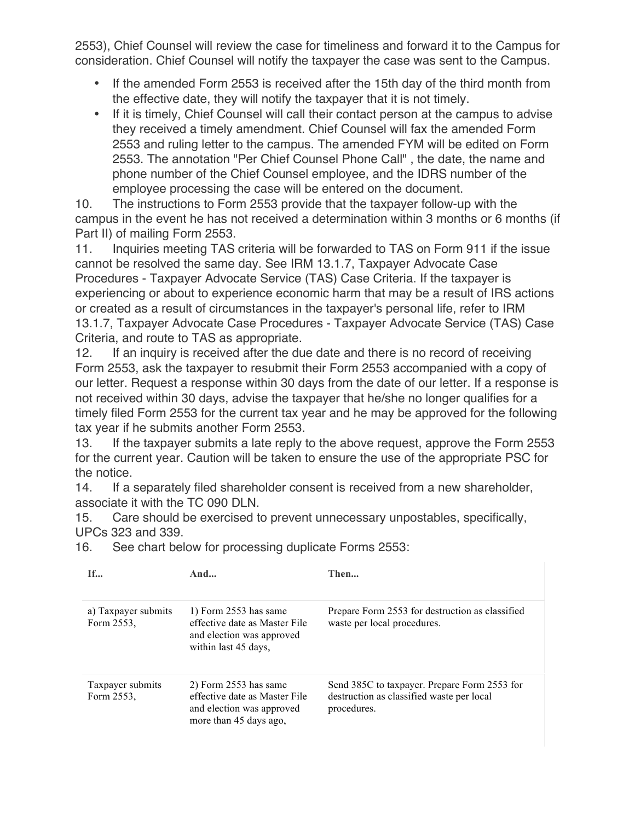2553), Chief Counsel will review the case for timeliness and forward it to the Campus for consideration. Chief Counsel will notify the taxpayer the case was sent to the Campus.

- If the amended Form 2553 is received after the 15th day of the third month from the effective date, they will notify the taxpayer that it is not timely.
- If it is timely, Chief Counsel will call their contact person at the campus to advise they received a timely amendment. Chief Counsel will fax the amended Form 2553 and ruling letter to the campus. The amended FYM will be edited on Form 2553. The annotation "Per Chief Counsel Phone Call" , the date, the name and phone number of the Chief Counsel employee, and the IDRS number of the employee processing the case will be entered on the document.

10. The instructions to Form 2553 provide that the taxpayer follow-up with the campus in the event he has not received a determination within 3 months or 6 months (if Part II) of mailing Form 2553.

11. Inquiries meeting TAS criteria will be forwarded to TAS on Form 911 if the issue cannot be resolved the same day. See IRM 13.1.7, Taxpayer Advocate Case Procedures - Taxpayer Advocate Service (TAS) Case Criteria. If the taxpayer is experiencing or about to experience economic harm that may be a result of IRS actions or created as a result of circumstances in the taxpayer's personal life, refer to IRM 13.1.7, Taxpayer Advocate Case Procedures - Taxpayer Advocate Service (TAS) Case Criteria, and route to TAS as appropriate.

12. If an inquiry is received after the due date and there is no record of receiving Form 2553, ask the taxpayer to resubmit their Form 2553 accompanied with a copy of our letter. Request a response within 30 days from the date of our letter. If a response is not received within 30 days, advise the taxpayer that he/she no longer qualifies for a timely filed Form 2553 for the current tax year and he may be approved for the following tax year if he submits another Form 2553.

13. If the taxpayer submits a late reply to the above request, approve the Form 2553 for the current year. Caution will be taken to ensure the use of the appropriate PSC for the notice.

14. If a separately filed shareholder consent is received from a new shareholder, associate it with the TC 090 DLN.

15. Care should be exercised to prevent unnecessary unpostables, specifically, UPCs 323 and 339.

16. See chart below for processing duplicate Forms 2553:

| If                                | And                                                                                                             | Then                                                                                                     |
|-----------------------------------|-----------------------------------------------------------------------------------------------------------------|----------------------------------------------------------------------------------------------------------|
| a) Taxpayer submits<br>Form 2553, | 1) Form $2553$ has same<br>effective date as Master File<br>and election was approved<br>within last 45 days,   | Prepare Form 2553 for destruction as classified<br>waste per local procedures.                           |
| Taxpayer submits<br>Form 2553.    | $2)$ Form 2553 has same<br>effective date as Master File<br>and election was approved<br>more than 45 days ago, | Send 385C to taxpayer. Prepare Form 2553 for<br>destruction as classified waste per local<br>procedures. |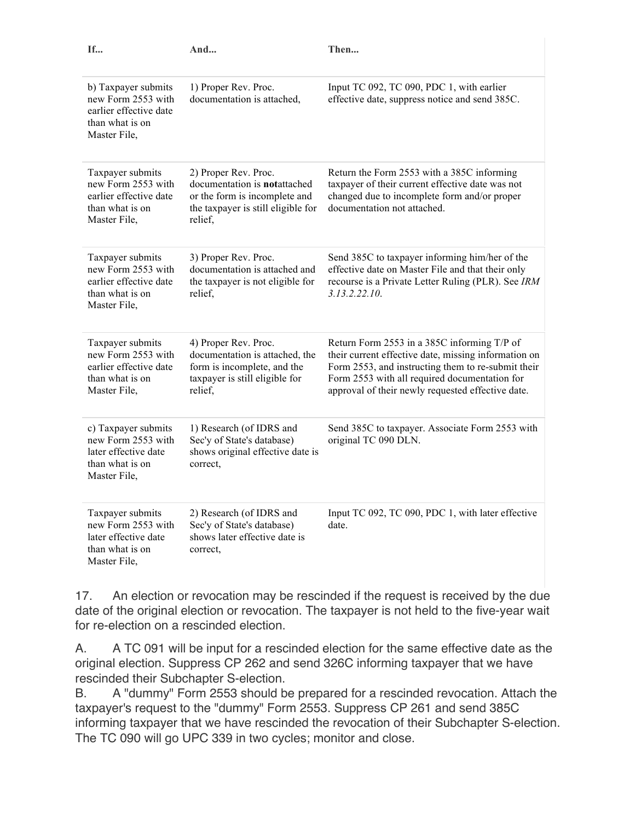| If                                                                                                     | And                                                                                                                                           | Then                                                                                                                                                                                                                                                            |
|--------------------------------------------------------------------------------------------------------|-----------------------------------------------------------------------------------------------------------------------------------------------|-----------------------------------------------------------------------------------------------------------------------------------------------------------------------------------------------------------------------------------------------------------------|
| b) Taxpayer submits<br>new Form 2553 with<br>earlier effective date<br>than what is on<br>Master File, | 1) Proper Rev. Proc.<br>documentation is attached.                                                                                            | Input TC 092, TC 090, PDC 1, with earlier<br>effective date, suppress notice and send 385C.                                                                                                                                                                     |
| Taxpayer submits<br>new Form 2553 with<br>earlier effective date<br>than what is on<br>Master File,    | 2) Proper Rev. Proc.<br>documentation is <b>notattached</b><br>or the form is incomplete and<br>the taxpayer is still eligible for<br>relief, | Return the Form 2553 with a 385C informing<br>taxpayer of their current effective date was not<br>changed due to incomplete form and/or proper<br>documentation not attached.                                                                                   |
| Taxpayer submits<br>new Form 2553 with<br>earlier effective date<br>than what is on<br>Master File,    | 3) Proper Rev. Proc.<br>documentation is attached and<br>the taxpayer is not eligible for<br>relief,                                          | Send 385C to taxpayer informing him/her of the<br>effective date on Master File and that their only<br>recourse is a Private Letter Ruling (PLR). See IRM<br>3.13.2.22.10                                                                                       |
| Taxpayer submits<br>new Form 2553 with<br>earlier effective date<br>than what is on<br>Master File,    | 4) Proper Rev. Proc.<br>documentation is attached, the<br>form is incomplete, and the<br>taxpayer is still eligible for<br>relief,            | Return Form 2553 in a 385C informing T/P of<br>their current effective date, missing information on<br>Form 2553, and instructing them to re-submit their<br>Form 2553 with all required documentation for<br>approval of their newly requested effective date. |
| c) Taxpayer submits<br>new Form 2553 with<br>later effective date<br>than what is on<br>Master File,   | 1) Research (of IDRS and<br>Sec'y of State's database)<br>shows original effective date is<br>correct,                                        | Send 385C to taxpayer. Associate Form 2553 with<br>original TC 090 DLN.                                                                                                                                                                                         |
| Taxpayer submits<br>new Form 2553 with<br>later effective date<br>than what is on<br>Master File,      | 2) Research (of IDRS and<br>Sec'y of State's database)<br>shows later effective date is<br>correct,                                           | Input TC 092, TC 090, PDC 1, with later effective<br>date.                                                                                                                                                                                                      |

17. An election or revocation may be rescinded if the request is received by the due date of the original election or revocation. The taxpayer is not held to the five-year wait for re-election on a rescinded election.

A. A TC 091 will be input for a rescinded election for the same effective date as the original election. Suppress CP 262 and send 326C informing taxpayer that we have rescinded their Subchapter S-election.

B. A "dummy" Form 2553 should be prepared for a rescinded revocation. Attach the taxpayer's request to the "dummy" Form 2553. Suppress CP 261 and send 385C informing taxpayer that we have rescinded the revocation of their Subchapter S-election. The TC 090 will go UPC 339 in two cycles; monitor and close.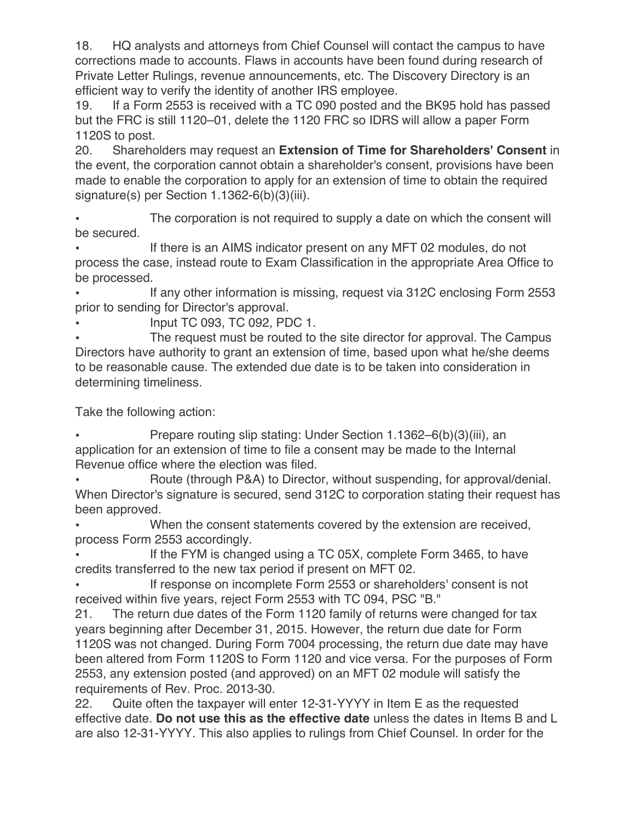18. HQ analysts and attorneys from Chief Counsel will contact the campus to have corrections made to accounts. Flaws in accounts have been found during research of Private Letter Rulings, revenue announcements, etc. The Discovery Directory is an efficient way to verify the identity of another IRS employee.

19. If a Form 2553 is received with a TC 090 posted and the BK95 hold has passed but the FRC is still 1120–01, delete the 1120 FRC so IDRS will allow a paper Form 1120S to post.

20. Shareholders may request an **Extension of Time for Shareholders' Consent** in the event, the corporation cannot obtain a shareholder's consent, provisions have been made to enable the corporation to apply for an extension of time to obtain the required signature(s) per Section 1.1362-6(b)(3)(iii).

The corporation is not required to supply a date on which the consent will be secured.

If there is an AIMS indicator present on any MFT 02 modules, do not process the case, instead route to Exam Classification in the appropriate Area Office to be processed.

• If any other information is missing, request via 312C enclosing Form 2553 prior to sending for Director's approval.

• Input TC 093, TC 092, PDC 1.

• The request must be routed to the site director for approval. The Campus Directors have authority to grant an extension of time, based upon what he/she deems to be reasonable cause. The extended due date is to be taken into consideration in determining timeliness.

Take the following action:

• Prepare routing slip stating: Under Section 1.1362–6(b)(3)(iii), an application for an extension of time to file a consent may be made to the Internal Revenue office where the election was filed.

• Route (through P&A) to Director, without suspending, for approval/denial. When Director's signature is secured, send 312C to corporation stating their request has been approved.

When the consent statements covered by the extension are received, process Form 2553 accordingly.

If the FYM is changed using a TC 05X, complete Form 3465, to have credits transferred to the new tax period if present on MFT 02.

If response on incomplete Form 2553 or shareholders' consent is not received within five years, reject Form 2553 with TC 094, PSC "B."

21. The return due dates of the Form 1120 family of returns were changed for tax years beginning after December 31, 2015. However, the return due date for Form 1120S was not changed. During Form 7004 processing, the return due date may have been altered from Form 1120S to Form 1120 and vice versa. For the purposes of Form 2553, any extension posted (and approved) on an MFT 02 module will satisfy the requirements of Rev. Proc. 2013-30.

22. Quite often the taxpayer will enter 12-31-YYYY in Item E as the requested effective date. **Do not use this as the effective date** unless the dates in Items B and L are also 12-31-YYYY. This also applies to rulings from Chief Counsel. In order for the